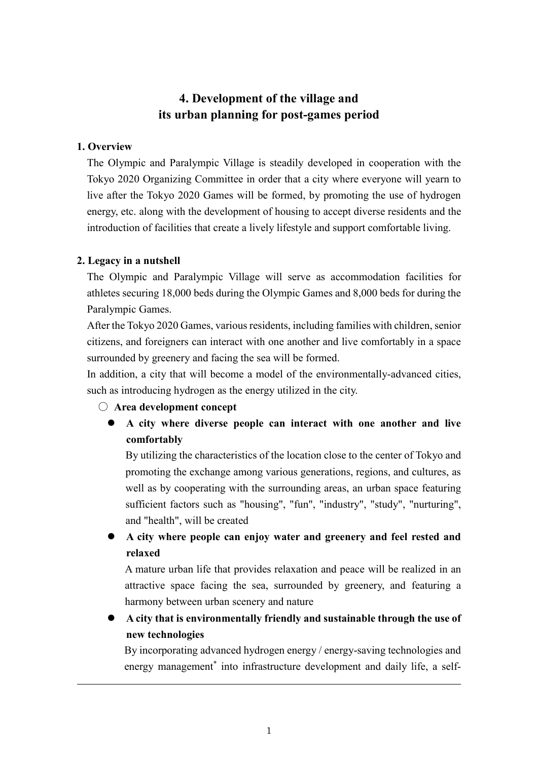# **4. Development of the village and its urban planning for post-games period**

## **1. Overview**

The Olympic and Paralympic Village is steadily developed in cooperation with the Tokyo 2020 Organizing Committee in order that a city where everyone will yearn to live after the Tokyo 2020 Games will be formed, by promoting the use of hydrogen energy, etc. along with the development of housing to accept diverse residents and the introduction of facilities that create a lively lifestyle and support comfortable living.

## **2. Legacy in a nutshell**

The Olympic and Paralympic Village will serve as accommodation facilities for athletes securing 18,000 beds during the Olympic Games and 8,000 beds for during the Paralympic Games.

After the Tokyo 2020 Games, various residents, including families with children, senior citizens, and foreigners can interact with one another and live comfortably in a space surrounded by greenery and facing the sea will be formed.

In addition, a city that will become a model of the environmentally-advanced cities, such as introducing hydrogen as the energy utilized in the city.

- **Area development concept**
	- **A city where diverse people can interact with one another and live comfortably**

By utilizing the characteristics of the location close to the center of Tokyo and promoting the exchange among various generations, regions, and cultures, as well as by cooperating with the surrounding areas, an urban space featuring sufficient factors such as "housing", "fun", "industry", "study", "nurturing", and "health", will be created

 **A city where people can enjoy water and greenery and feel rested and relaxed**

A mature urban life that provides relaxation and peace will be realized in an attractive space facing the sea, surrounded by greenery, and featuring a harmony between urban scenery and nature

 **A city that is environmentally friendly and sustainable through the use of new technologies**

By incorporating advanced hydrogen energy / energy-saving technologies and energy management<sup>\*</sup> into infrastructure development and daily life, a self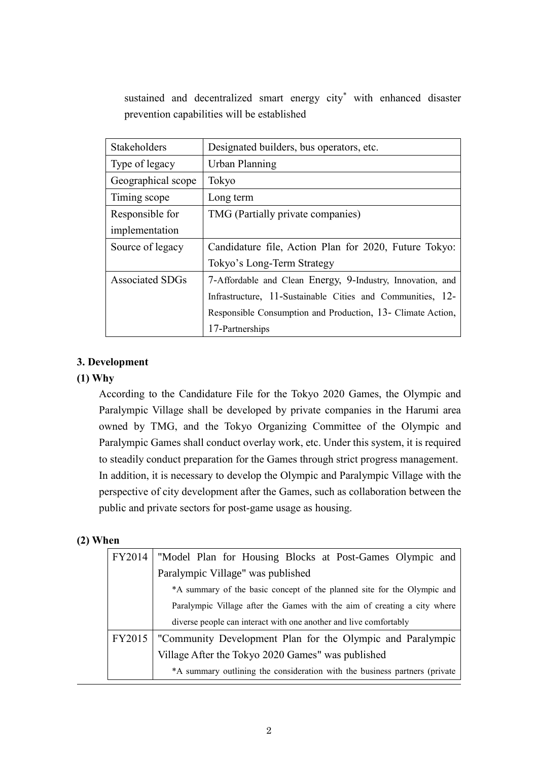sustained and decentralized smart energy city\* with enhanced disaster prevention capabilities will be established

| Stakeholders           | Designated builders, bus operators, etc.                    |
|------------------------|-------------------------------------------------------------|
| Type of legacy         | Urban Planning                                              |
| Geographical scope     | Tokyo                                                       |
| Timing scope           | Long term                                                   |
| Responsible for        | TMG (Partially private companies)                           |
| implementation         |                                                             |
| Source of legacy       | Candidature file, Action Plan for 2020, Future Tokyo:       |
|                        | Tokyo's Long-Term Strategy                                  |
| <b>Associated SDGs</b> | 7-Affordable and Clean Energy, 9-Industry, Innovation, and  |
|                        | Infrastructure, 11-Sustainable Cities and Communities, 12-  |
|                        | Responsible Consumption and Production, 13- Climate Action, |
|                        | 17-Partnerships                                             |

# **3. Development**

## **(1) Why**

According to the Candidature File for the Tokyo 2020 Games, the Olympic and Paralympic Village shall be developed by private companies in the Harumi area owned by TMG, and the Tokyo Organizing Committee of the Olympic and Paralympic Games shall conduct overlay work, etc. Under this system, it is required to steadily conduct preparation for the Games through strict progress management. In addition, it is necessary to develop the Olympic and Paralympic Village with the perspective of city development after the Games, such as collaboration between the public and private sectors for post-game usage as housing.

#### **(2) When**

| FY2014 | "Model Plan for Housing Blocks at Post-Games Olympic and                   |  |
|--------|----------------------------------------------------------------------------|--|
|        | Paralympic Village" was published                                          |  |
|        | *A summary of the basic concept of the planned site for the Olympic and    |  |
|        | Paralympic Village after the Games with the aim of creating a city where   |  |
|        | diverse people can interact with one another and live comfortably          |  |
| FY2015 | "Community Development Plan for the Olympic and Paralympic                 |  |
|        | Village After the Tokyo 2020 Games" was published                          |  |
|        | *A summary outlining the consideration with the business partners (private |  |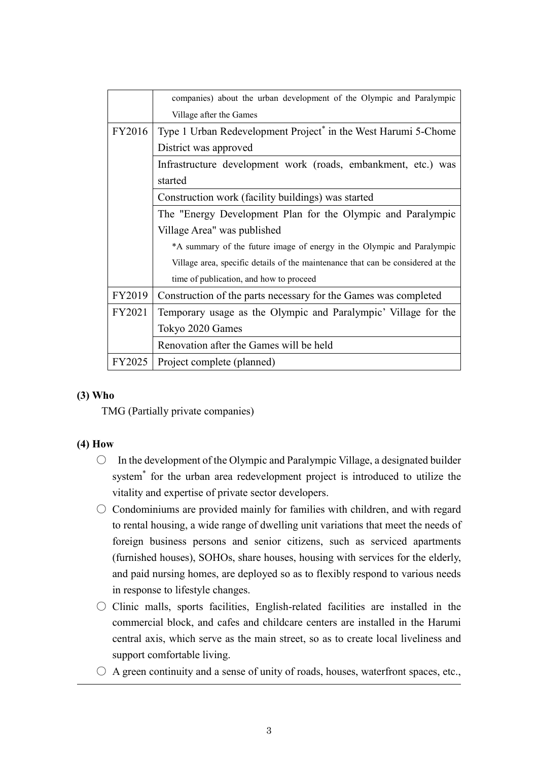|        | companies) about the urban development of the Olympic and Paralympic            |  |
|--------|---------------------------------------------------------------------------------|--|
|        | Village after the Games                                                         |  |
| FY2016 | Type 1 Urban Redevelopment Project <sup>*</sup> in the West Harumi 5-Chome      |  |
|        | District was approved                                                           |  |
|        | Infrastructure development work (roads, embankment, etc.) was                   |  |
|        | started                                                                         |  |
|        | Construction work (facility buildings) was started                              |  |
|        | The "Energy Development Plan for the Olympic and Paralympic                     |  |
|        | Village Area" was published                                                     |  |
|        | *A summary of the future image of energy in the Olympic and Paralympic          |  |
|        | Village area, specific details of the maintenance that can be considered at the |  |
|        | time of publication, and how to proceed                                         |  |
| FY2019 | Construction of the parts necessary for the Games was completed                 |  |
| FY2021 | Temporary usage as the Olympic and Paralympic' Village for the                  |  |
|        | Tokyo 2020 Games                                                                |  |
|        | Renovation after the Games will be held                                         |  |
| FY2025 | Project complete (planned)                                                      |  |

# **(3) Who**

TMG (Partially private companies)

#### **(4) How**

- $\bigcirc$  In the development of the Olympic and Paralympic Village, a designated builder system\* for the urban area redevelopment project is introduced to utilize the vitality and expertise of private sector developers.
- $\circ$  Condominiums are provided mainly for families with children, and with regard to rental housing, a wide range of dwelling unit variations that meet the needs of foreign business persons and senior citizens, such as serviced apartments (furnished houses), SOHOs, share houses, housing with services for the elderly, and paid nursing homes, are deployed so as to flexibly respond to various needs in response to lifestyle changes.
- $\circ$  Clinic malls, sports facilities, English-related facilities are installed in the commercial block, and cafes and childcare centers are installed in the Harumi central axis, which serve as the main street, so as to create local liveliness and support comfortable living.
- $\bigcirc$  A green continuity and a sense of unity of roads, houses, waterfront spaces, etc.,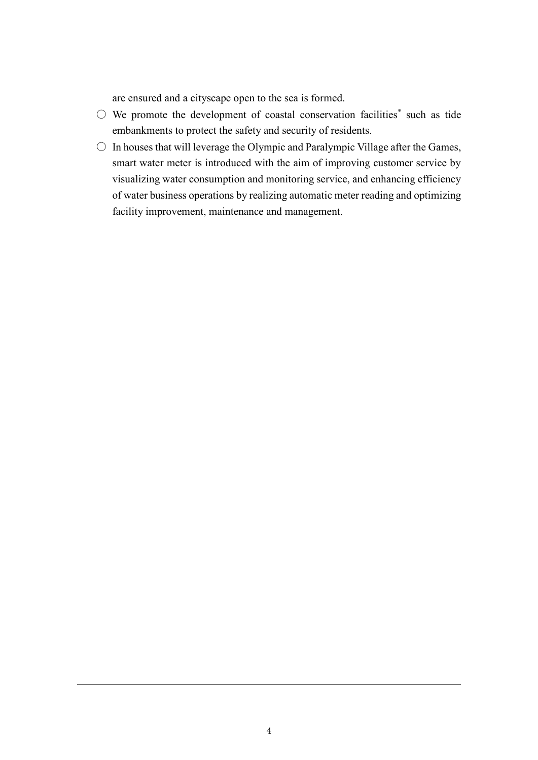are ensured and a cityscape open to the sea is formed.

- $\bigcirc$  We promote the development of coastal conservation facilities\* such as tide embankments to protect the safety and security of residents.
- $\circ$  In houses that will leverage the Olympic and Paralympic Village after the Games, smart water meter is introduced with the aim of improving customer service by visualizing water consumption and monitoring service, and enhancing efficiency of water business operations by realizing automatic meter reading and optimizing facility improvement, maintenance and management.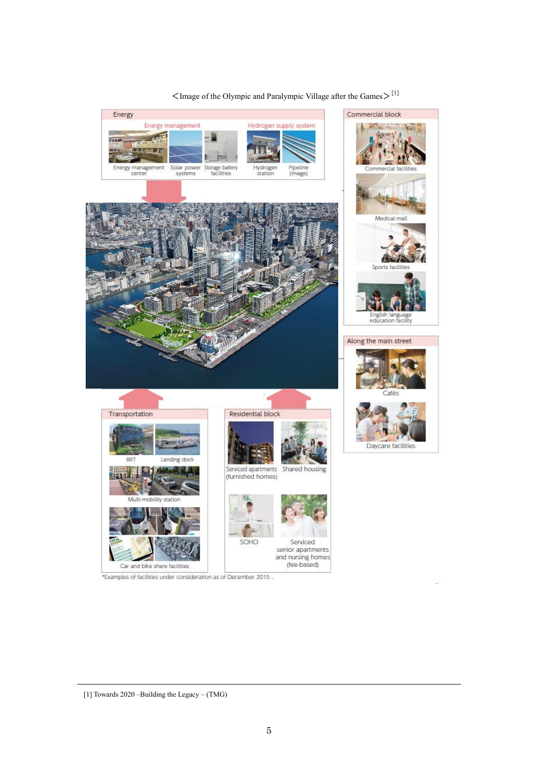

# $\leq$ Image of the Olympic and Paralympic Village after the Games $>$ <sup>[1]</sup>

<sup>[1]</sup> Towards 2020 –Building the Legacy – (TMG)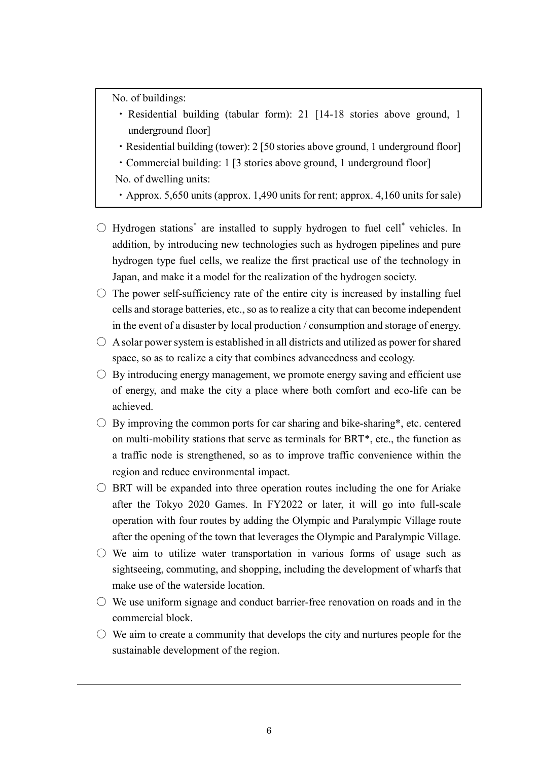No. of buildings:

- ・ Residential building (tabular form): 21 [14-18 stories above ground, 1 underground floor]
- ・Residential building (tower): 2 [50 stories above ground, 1 underground floor]
- ・Commercial building: 1 [3 stories above ground, 1 underground floor] No. of dwelling units:

・Approx. 5,650 units (approx. 1,490 units for rent; approx. 4,160 units for sale)

- $\bigcirc$  Hydrogen stations<sup>\*</sup> are installed to supply hydrogen to fuel cell<sup>\*</sup> vehicles. In addition, by introducing new technologies such as hydrogen pipelines and pure hydrogen type fuel cells, we realize the first practical use of the technology in Japan, and make it a model for the realization of the hydrogen society.
- $\circ$  The power self-sufficiency rate of the entire city is increased by installing fuel cells and storage batteries, etc., so as to realize a city that can become independent in the event of a disaster by local production / consumption and storage of energy.
- $\bigcirc$  A solar power system is established in all districts and utilized as power for shared space, so as to realize a city that combines advancedness and ecology.
- $\circ$  By introducing energy management, we promote energy saving and efficient use of energy, and make the city a place where both comfort and eco-life can be achieved.
- $\bigcirc$  By improving the common ports for car sharing and bike-sharing\*, etc. centered on multi-mobility stations that serve as terminals for BRT\*, etc., the function as a traffic node is strengthened, so as to improve traffic convenience within the region and reduce environmental impact.
- $\circ$  BRT will be expanded into three operation routes including the one for Ariake after the Tokyo 2020 Games. In FY2022 or later, it will go into full-scale operation with four routes by adding the Olympic and Paralympic Village route after the opening of the town that leverages the Olympic and Paralympic Village.
- $\circ$  We aim to utilize water transportation in various forms of usage such as sightseeing, commuting, and shopping, including the development of wharfs that make use of the waterside location.
- $\circlearrowright$  We use uniform signage and conduct barrier-free renovation on roads and in the commercial block.
- $\circ$  We aim to create a community that develops the city and nurtures people for the sustainable development of the region.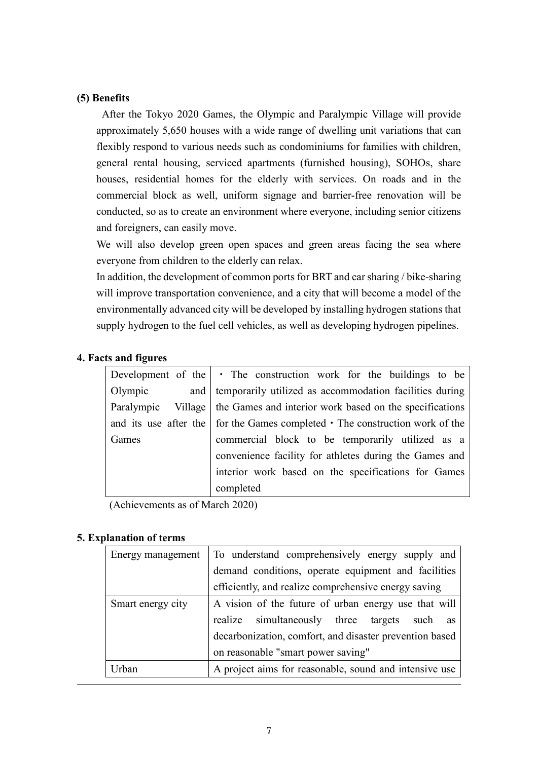## **(5) Benefits**

After the Tokyo 2020 Games, the Olympic and Paralympic Village will provide approximately 5,650 houses with a wide range of dwelling unit variations that can flexibly respond to various needs such as condominiums for families with children, general rental housing, serviced apartments (furnished housing), SOHOs, share houses, residential homes for the elderly with services. On roads and in the commercial block as well, uniform signage and barrier-free renovation will be conducted, so as to create an environment where everyone, including senior citizens and foreigners, can easily move.

We will also develop green open spaces and green areas facing the sea where everyone from children to the elderly can relax.

In addition, the development of common ports for BRT and car sharing / bike-sharing will improve transportation convenience, and a city that will become a model of the environmentally advanced city will be developed by installing hydrogen stations that supply hydrogen to the fuel cell vehicles, as well as developing hydrogen pipelines.

## **4. Facts and figures**

|            | Development of the $\cdot$ The construction work for the buildings to be                   |
|------------|--------------------------------------------------------------------------------------------|
| Olympic    | and   temporarily utilized as accommodation facilities during                              |
| Paralympic | Village   the Games and interior work based on the specifications                          |
|            | and its use after the $\vert$ for the Games completed $\cdot$ The construction work of the |
| Games      | commercial block to be temporarily utilized as a                                           |
|            | convenience facility for athletes during the Games and                                     |
|            | interior work based on the specifications for Games                                        |
|            | completed                                                                                  |

(Achievements as of March 2020)

#### **5. Explanation of terms**

| Energy management | To understand comprehensively energy supply and         |
|-------------------|---------------------------------------------------------|
|                   | demand conditions, operate equipment and facilities     |
|                   | efficiently, and realize comprehensive energy saving    |
| Smart energy city | A vision of the future of urban energy use that will    |
|                   | realize simultaneously three targets such as            |
|                   | decarbonization, comfort, and disaster prevention based |
|                   | on reasonable "smart power saving"                      |
| Jrban             | A project aims for reasonable, sound and intensive use  |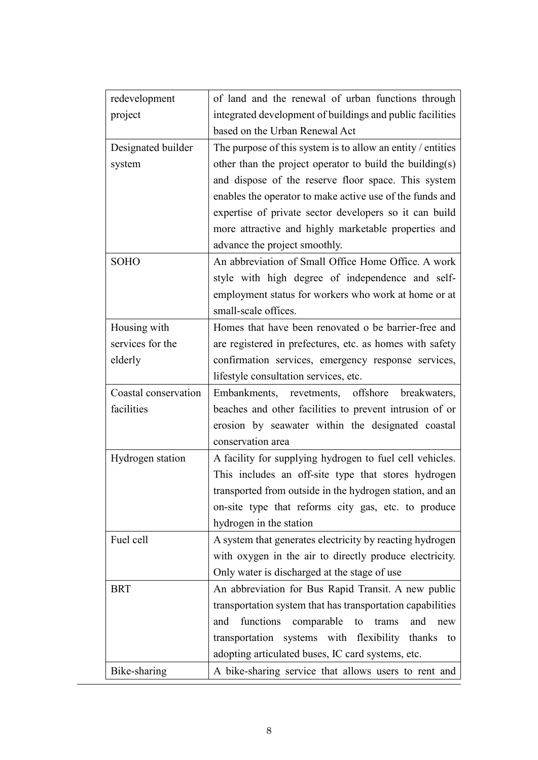| redevelopment        | of land and the renewal of urban functions through          |
|----------------------|-------------------------------------------------------------|
| project              | integrated development of buildings and public facilities   |
|                      | based on the Urban Renewal Act                              |
| Designated builder   | The purpose of this system is to allow an entity / entities |
| system               | other than the project operator to build the building(s)    |
|                      | and dispose of the reserve floor space. This system         |
|                      | enables the operator to make active use of the funds and    |
|                      | expertise of private sector developers so it can build      |
|                      | more attractive and highly marketable properties and        |
|                      | advance the project smoothly.                               |
| <b>SOHO</b>          | An abbreviation of Small Office Home Office. A work         |
|                      | style with high degree of independence and self-            |
|                      | employment status for workers who work at home or at        |
|                      | small-scale offices.                                        |
| Housing with         | Homes that have been renovated o be barrier-free and        |
| services for the     | are registered in prefectures, etc. as homes with safety    |
| elderly              | confirmation services, emergency response services,         |
|                      | lifestyle consultation services, etc.                       |
|                      |                                                             |
| Coastal conservation | Embankments, revetments, offshore breakwaters,              |
| facilities           | beaches and other facilities to prevent intrusion of or     |
|                      | erosion by seawater within the designated coastal           |
|                      | conservation area                                           |
| Hydrogen station     | A facility for supplying hydrogen to fuel cell vehicles.    |
|                      | This includes an off-site type that stores hydrogen         |
|                      | transported from outside in the hydrogen station, and an    |
|                      | on-site type that reforms city gas, etc. to produce         |
|                      | hydrogen in the station                                     |
| Fuel cell            | A system that generates electricity by reacting hydrogen    |
|                      | with oxygen in the air to directly produce electricity.     |
|                      | Only water is discharged at the stage of use                |
| <b>BRT</b>           | An abbreviation for Bus Rapid Transit. A new public         |
|                      | transportation system that has transportation capabilities  |
|                      | functions<br>comparable<br>trams<br>and<br>and<br>to<br>new |
|                      | transportation systems with flexibility thanks to           |
|                      | adopting articulated buses, IC card systems, etc.           |